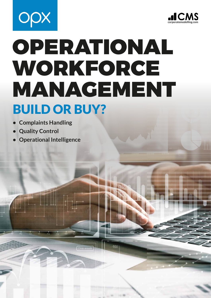



# OPERATIONAL WORKFORCE MANAGEMENT BUILD OR BUY?

- **• Complaints Handling**
- **• Quality Control**
- **• Operational Intelligence**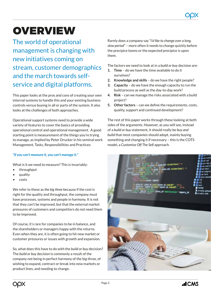## **OVERVIEW**

The world of operational management is changing with new initiatives coming on stream, customer demographics and the march towards selfservice and digital platforms.

This paper looks at the pros and cons of creating your own internal systems to handle this and your existing business controls versus buying in all or parts of the system. It also looks at the challenges of both approaches.

Operational support systems need to provide a wide variety of features to cover the basics of providing operational control and operational management. A good starting point is measurement of the things you're trying to manage, as implied by Peter Drucker in his seminal work Management, Tasks, Responsibilities and Practices:

#### *"If you can't measure it, you can't manage it."*

What is it we need to measure? This is invariably:

- throughput
- quality
- costs

We refer to these as *the big three* because if the cost is right for the quality and throughput, the company must have processes, systems and people in harmony. It is not that they can't be improved, but that the external market pressures of customers and competitors do not need them to be improved.

Of course, it's rare for companies to be in balance, and the shareholders or managers happy with the returns. Even when they are, it is often going to hit new market or customer pressures or issues with growth and expansion.

So, what does this have to do with the *build or buy* decision? The *build or buy* decision is commonly a result of the company not being in perfect harmony of the big three, of wishing to expand, contract or break into new markets or product lines, and needing to change.

Rarely does a company say "*I'd like to change over a long, slow period*" – more often it needs to change quickly before the precipice looms or the expected precipice is upon them.

The factors we need to look at in a *build or buy* decision are:

- **1. Time** do we have the time available to do it ourselves?
- **2. Knowledge and skills** do we have the right people?
- **3. Capacity** do we have the enough capacity to run the build process as well as the day-to-day work?
- **4. Risk** can we manage the risks associated with a build project?
- **5. Other factors** can we define the requirements, costs, quality, support and continued development?

The rest of this paper works through these looking at both sides of the arguments. However, as you will see, instead of a *build or buy* statement, it should really be *buy and build* that most companies should adopt, mainly buying something and changing it if necessary – this is the COTS model, a *Customise Off The Self* approach.

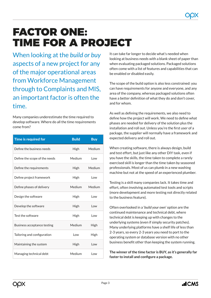### FACTOR ONE: TIME FOR A PROJECT

When looking at the *build or buy*  aspects of a new project for any of the major operational areas from Workforce Management through to Complaints and MIS, an important factor is often the time.

Many companies underestimate the time required to develop software. Where do all the time requirements come from?

| Time is required for          | <b>Build</b> | <b>Buy</b> |
|-------------------------------|--------------|------------|
| Define the business needs     | <b>High</b>  | Medium     |
| Define the scope of the needs | Medium       | l ow       |
| Define the requirements       | <b>High</b>  | Medium     |
| Define project framework      | High         | l ow       |
| Define phases of delivery     | Medium       | Medium     |
| Design the software           | High         | l ow       |
| Develop the software          | <b>High</b>  | l ow       |
| Test the software             | High         | l ow       |
| Business acceptance testing   | Medium       | High       |
| Tailoring and configuration   | Low          | High       |
| Maintaining the system        | High         | l ow       |
| Managing technical debt       | Medium       | l ow       |

It can take far longer to decide what's needed when looking at business needs with a blank sheet of paper than when evaluating packaged solutions. Packaged solutions often come with a list of features and capabilities that can be enabled or disabled easily.

The scope of the build option is also less constrained: you can have requirements for anyone and everyone, and any area of the company, whereas packaged solutions often have a better definition of what they do and don't cover, and for whom.

As well as defining the requirements, we also need to define how the project will work. We need to define what phases are needed for delivery of the solution plus the installation and roll out. Unless you're the first user of a package, the supplier will normally have a framework and expected delivery and roll out.

When creating software, there is always design, build and test effort, but just like any other DIY task, even if you have the skills, the time taken to complete a rarely exercised skill is longer than the time taken by seasoned professionals. Most of us can plumb in a new washing machine but not at the speed of an experienced plumber.

Testing is a skill many companies lack. It takes time and effort, often involving automated test tools and scripts (more development and more testing not directly related to the business feature).

Often overlooked in a '*build your own*' option are the continued maintenance and technical debt, where technical debt is keeping up with changes to the underlying systems (even if simply security patches). Many underlying platforms have a shelf life of less than 2-3 years, so every 2-3 years you need to port to the operating system or database version with no other business benefit other than keeping the system running.

**The winner of the time factor is BUY, as it's generally far faster to install and configure a package.**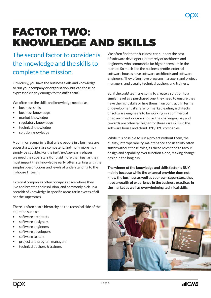### FACTOR TWO: KNOWLEDGE AND SKILLS

#### The second factor to consider is the knowledge and the skills to complete the mission.

Obviously, you have the business skills and knowledge to run your company or organisation, but can these be expressed clearly enough to the *build* team?

We often see the skills and knowledge needed as:

- business skills
- business knowledge
- market knowledge
- regulatory knowledge
- technical knowledge
- solution knowledge

A common scenario is that a few people in a business are superstars, others are competent, and many more may simply be capable. For the *build and buy* early phases, we need the superstars (for *build* more than *buy*) as they must impart their knowledge early, often starting with the simplest descriptions and levels of understanding to the in-house IT team.

External companies often occupy a space where they live and breathe their solution, and commonly pick up a breadth of knowledge in specific areas far in excess of all bar the superstars.

There is often also a hierarchy on the technical side of the equation such as:

- software architects
- software designers
- software engineers
- software developers
- software testers
- project and program managers
- technical authors & trainers

We often find that a business can support the cost of software developers, but rarely of architects and engineers, who command a far higher premium in the market. So much like the business profile, external software houses have software architects and software engineers. They often have program managers and project managers, and usually technical authors and trainers.

So, if the *build* team are going to create a solution to a similar level as a purchased one, they need to ensure they have the right skills or hire them in on contract. In terms of development, it's rare for market leading architects or software engineers to be working in a commercial or government organisation as the challenges, pay and rewards are often far higher for these rare skills in the software house and cloud B2B/B2C companies.

While it is possible to run a project without them, the quality, interoperability, maintenance and usability often suffer without these roles, as these roles tend to favour design and capability over function alone, making change easier in the long run.

**The winner of the knowledge and skills factor is BUY, mainly because while the external provider does not know the business as well as your own superstars, they have a wealth of experience in the business practices in the market as well as overwhelming technical skills.**

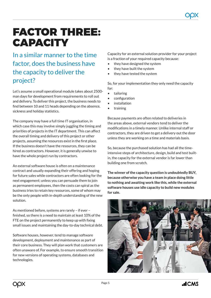### FACTOR THREE: **CAPACITY**

In a similar manner to the time factor, does the business have the capacity to deliver the project?

Let's assume a small operational module takes about 2500 man days for development from requirements to roll out and delivery. To deliver this project, the business needs to find between 10 and 11 heads depending on the absence, sickness and holiday statistics.

The company may have a full time IT organisation, in which case this may involve simply juggling the timing and priorities of projects in the IT department. This can affect the overall timing and delivery of this project or other projects, assuming the resources exist in the first place. If the business doesn't have the resources, they can be hired as contractors. However, it is generally unwise to have the whole project run by contractors.

An external software house is often on a maintenance contract and usually expanding their offering and hoping for future sales while contractors are often looking for the next engagement; unless you can persuade them to join as permanent employees, then the costs can spiral as the business tries to retain key resources, some of whom may be the only people with in-depth understanding of the new solution.

As mentioned before, systems are rarely – if ever – finished, so there is a need to maintain at least 10% of the FTE on the project permanently to keep up with fixing small issues and maintaining the day-to-day technical debt.

Software houses, however, tend to manage software development, deployment and maintenance as part of their core business. They will plan work that customers are often unaware of. For example, to ensure smooth transition for new versions of operating systems, databases and technologies.

Capacity for an external solution provider for your project is a fraction of your required capacity because:

- they have designed the system
- they have built the system
- they have tested the system

So, for your implementation they only need the capacity for:

- tailoring
- configuration
- **installation**
- **training**

Because payments are often related to deliveries in the areas above, external vendors tend to deliver the modifications in a timely manner. Unlike internal staff or contractors, they are driven to get a delivery out the door unless they are working on a time and materials basis.

So, because the purchased solution has had all the timeintensive steps of architecture, design, build and test builtin, the capacity for the external vendor is far lower than building one from scratch.

**The winner of the capacity question is undoubtedly BUY, because otherwise you have a team in place doing little to nothing and awaiting work like this, while the external software houses use idle capacity to build new modules for sale.**

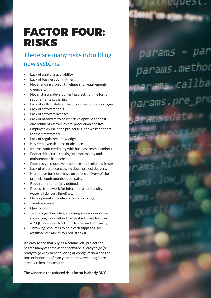### FACTOR FOUR: RISKS

#### There are many risks in building new systems.

params = par

params.method

params.pre\_pi

ams.dat

ams.callba

- Lack of *superstar* availability.
- Lack of business commitment.
- Never ending project, timelines slip, requirements creep, etc.
- Never starting development project, no time for full requirements gathering.
- Lack of skills to deliver the project, resource shortages.
- Lack of software tools.
- Lack of software licenses.
- Lack of hardware to deliver development and test environments as well as pre-production and live.
- Employee churn in the project (e.g. can we keep them for the timeframe?).
- Lack of regulatory knowledge.
- Key employee sickness or absence.
- Internal staff credibility with business team members.
- Poor architecture, causing interoperability and maintenance headaches.
- Poor design, causes maintenance and scalability issues.
- Lack of experience, slowing down project delivery.
- Markets or business move on before delivery of the project, requirements out of date.
- Requirements not fully defined.
- Process framework for internal sign-off results in waterfall delivery timelines.
- Development and delivery costs spiralling.
- Timelines missed.
- Quality poor.
- Technology choice (e.g. choosing access or end-user computing tools rather than real software tools such as SQL Server or Oracle due to cost and familiarity).
- Throwing resources to help with slippages (see *Mythical Man Month* by Fred Brooks).

It's easy to see that buying a commercial project can negate many of these as the software is ready to go (or ready to go with some tailoring or configuration) and the tens or hundreds of man years spent developing it are already taken into account.

**The winner in the reduced risks factor is clearly BUY.**

Page 6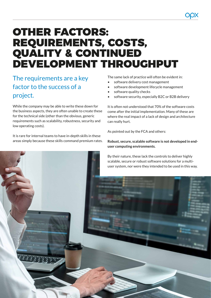### OTHER FACTORS: REQUIREMENTS, COSTS, QUALITY & CONTINUED DEVELOPMENT THROUGHPUT

The requirements are a key factor to the success of a project.

While the company may be able to write these down for the business aspects, they are often unable to create these for the technical side (other than the obvious, generic requirements such as scalability, robustness, security and low operating costs).

It is rare for internal teams to have in-depth skills in these areas simply because these skills command premium rates. The same lack of practice will often be evident in:

- software delivery cost management
- software development lifecycle management
- software quality checks
- software security, especially B2C or B2B delivery

It is often not understood that 70% of the software costs come after the initial implementation. Many of these are where the real impact of a lack of design and architecture can really hurt.

As pointed out by the FCA and others:

#### **Robust, secure, scalable software is not developed in enduser computing environments.**

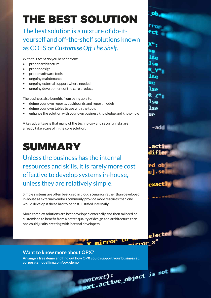## THE BEST SOLUTION

The best solution is a mixture of do-ityourself and off-the-shelf solutions known as COTS or *Customise Off The Shelf*.

lse

lse

lse ue

-add

∍xact

 $_{2}$ lected

 $2000x$ 

With this scenario you benefit from:

- proper architecture
- proper design
- proper software tools
- ongoing maintenance
- ongoing external support where needed
- ongoing development of the core product

The business also benefits from being able to:

- define your own reports, dashboards and report models
- define your own tables to use with the tools
- enhance the solution with your own business knowledge and know-how

A key advantage is that many of the technology and security risks are already taken care of in the core solution.

### SUMMARY

Unless the business has the internal resources and skills, it is rarely more cost effective to develop systems in-house, unless they are relatively simple.

Simple systems are often best used in cloud scenarios rather than developed in-house as external vendors commonly provide more features than one would develop if these had to be cost-justified internally.

More complex solutions are best developed externally and then tailored or customised to benefit from a better quality of design and architecture than one could justify creating with internal developers.

#### **Want to know more about OPX?**

Page object is not **[Arrange a free demo and find out how OPX could support your business at:](https://www.corporatemodelling.com/opx-demo/) [corporatemodelling.com/opx-demo](https://www.corporatemodelling.com/opx-demo)**

 $\sim$  mirror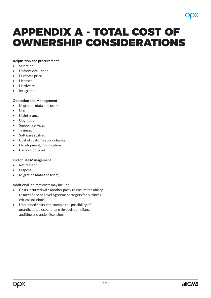### APPENDIX A - TOTAL COST OF OWNERSHIP CONSIDERATIONS

#### **Acquisition and procurement**

- **Selection**
- Upfront evaluation
- Purchase price
- **Licenses**
- **Hardware**
- **Integration**

#### **Operation and Management**

- Migration (data and users)
- Use
- **Maintenance**
- **Upgrades**
- Support services
- **Training**
- Software scaling
- Cost of customisation (change)
- Development, modification
- Carbon footprint

#### **End of Life Management**

- Retirement
- **Disposal**
- Migration (data and users)

Additional indirect costs may include:

- Costs incurred with another party to ensure the ability to meet Service Level Agreement targets for businesscritical solutions)
- Unplanned costs, for example the possibility of unanticipated expenditure through compliance auditing and under-licensing.